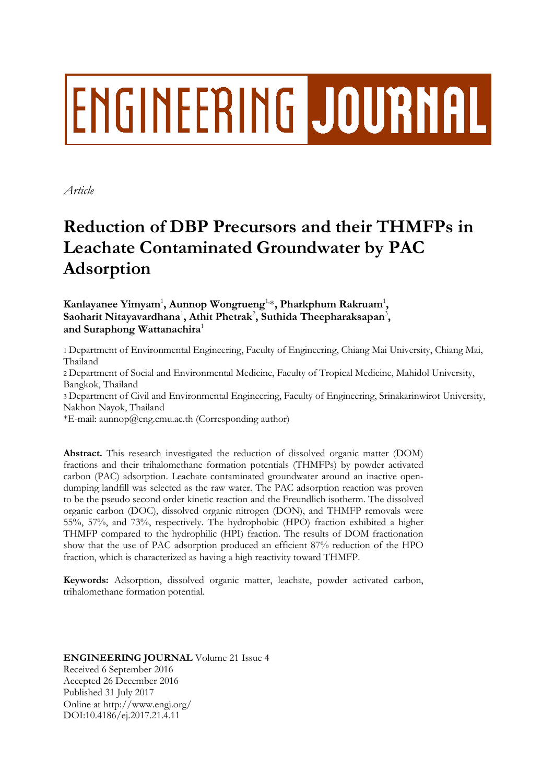# ENGINEERING JOURNAL

*Article*

# **Reduction of DBP Precursors and their THMFPs in Leachate Contaminated Groundwater by PAC Adsorption**

**Kanlayanee Yimyam**<sup>1</sup> **, Aunnop Wongrueng**1,\***, Pharkphum Rakruam**<sup>1</sup> **,**   $\mathbf S$ aoharit Nitayavardhana<sup>1</sup>, Athit Phetrak<sup>2</sup>, Suthida Theepharaksapan<sup>3</sup>, **and Suraphong Wattanachira**<sup>1</sup>

1 Department of Environmental Engineering, Faculty of Engineering, Chiang Mai University, Chiang Mai, Thailand

2 Department of Social and Environmental Medicine, Faculty of Tropical Medicine, Mahidol University, Bangkok, Thailand

3 Department of Civil and Environmental Engineering, Faculty of Engineering, Srinakarinwirot University, Nakhon Nayok, Thailand

\*E-mail: aunnop@eng.cmu.ac.th (Corresponding author)

**Abstract.** This research investigated the reduction of dissolved organic matter (DOM) fractions and their trihalomethane formation potentials (THMFPs) by powder activated carbon (PAC) adsorption. Leachate contaminated groundwater around an inactive opendumping landfill was selected as the raw water. The PAC adsorption reaction was proven to be the pseudo second order kinetic reaction and the Freundlich isotherm. The dissolved organic carbon (DOC), dissolved organic nitrogen (DON), and THMFP removals were 55%, 57%, and 73%, respectively. The hydrophobic (HPO) fraction exhibited a higher THMFP compared to the hydrophilic (HPI) fraction. The results of DOM fractionation show that the use of PAC adsorption produced an efficient 87% reduction of the HPO fraction, which is characterized as having a high reactivity toward THMFP.

**Keywords:** Adsorption, dissolved organic matter, leachate, powder activated carbon, trihalomethane formation potential.

**ENGINEERING JOURNAL** Volume 21 Issue 4 Received 6 September 2016 Accepted 26 December 2016 Published 31 July 2017 Online at http://www.engj.org/ DOI:10.4186/ej.2017.21.4.11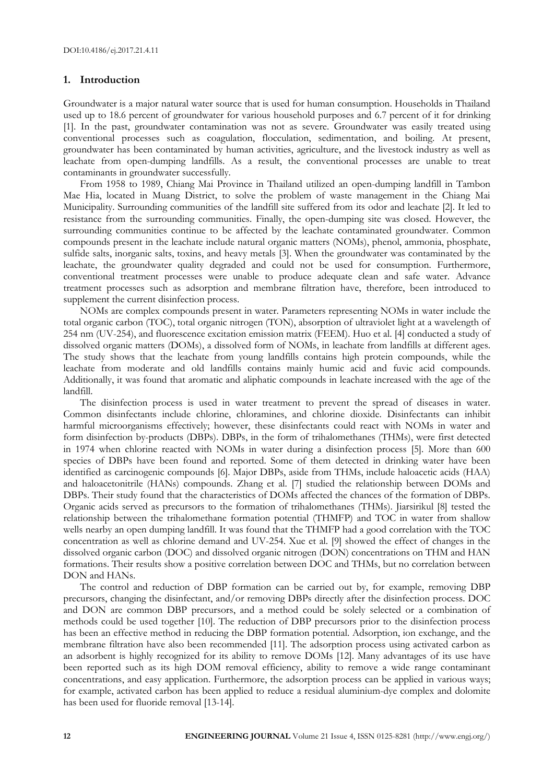# **1. Introduction**

Groundwater is a major natural water source that is used for human consumption. Households in Thailand used up to 18.6 percent of groundwater for various household purposes and 6.7 percent of it for drinking [1]. In the past, groundwater contamination was not as severe. Groundwater was easily treated using conventional processes such as coagulation, flocculation, sedimentation, and boiling. At present, groundwater has been contaminated by human activities, agriculture, and the livestock industry as well as leachate from open-dumping landfills. As a result, the conventional processes are unable to treat contaminants in groundwater successfully.

From 1958 to 1989, Chiang Mai Province in Thailand utilized an open-dumping landfill in Tambon Mae Hia, located in Muang District, to solve the problem of waste management in the Chiang Mai Municipality. Surrounding communities of the landfill site suffered from its odor and leachate [2]. It led to resistance from the surrounding communities. Finally, the open-dumping site was closed. However, the surrounding communities continue to be affected by the leachate contaminated groundwater. Common compounds present in the leachate include natural organic matters (NOMs), phenol, ammonia, phosphate, sulfide salts, inorganic salts, toxins, and heavy metals [3]. When the groundwater was contaminated by the leachate, the groundwater quality degraded and could not be used for consumption. Furthermore, conventional treatment processes were unable to produce adequate clean and safe water. Advance treatment processes such as adsorption and membrane filtration have, therefore, been introduced to supplement the current disinfection process.

NOMs are complex compounds present in water. Parameters representing NOMs in water include the total organic carbon (TOC), total organic nitrogen (TON), absorption of ultraviolet light at a wavelength of 254 nm (UV-254), and fluorescence excitation emission matrix (FEEM). Huo et al. [4] conducted a study of dissolved organic matters (DOMs), a dissolved form of NOMs, in leachate from landfills at different ages. The study shows that the leachate from young landfills contains high protein compounds, while the leachate from moderate and old landfills contains mainly humic acid and fuvic acid compounds. Additionally, it was found that aromatic and aliphatic compounds in leachate increased with the age of the landfill.

The disinfection process is used in water treatment to prevent the spread of diseases in water. Common disinfectants include chlorine, chloramines, and chlorine dioxide. Disinfectants can inhibit harmful microorganisms effectively; however, these disinfectants could react with NOMs in water and form disinfection by-products (DBPs). DBPs, in the form of trihalomethanes (THMs), were first detected in 1974 when chlorine reacted with NOMs in water during a disinfection process [5]. More than 600 species of DBPs have been found and reported. Some of them detected in drinking water have been identified as carcinogenic compounds [6]. Major DBPs, aside from THMs, include haloacetic acids (HAA) and haloacetonitrile (HANs) compounds. Zhang et al. [7] studied the relationship between DOMs and DBPs. Their study found that the characteristics of DOMs affected the chances of the formation of DBPs. Organic acids served as precursors to the formation of trihalomethanes (THMs). Jiarsirikul [8] tested the relationship between the trihalomethane formation potential (THMFP) and TOC in water from shallow wells nearby an open dumping landfill. It was found that the THMFP had a good correlation with the TOC concentration as well as chlorine demand and UV-254. Xue et al. [9] showed the effect of changes in the dissolved organic carbon (DOC) and dissolved organic nitrogen (DON) concentrations on THM and HAN formations. Their results show a positive correlation between DOC and THMs, but no correlation between DON and HANs.

The control and reduction of DBP formation can be carried out by, for example, removing DBP precursors, changing the disinfectant, and/or removing DBPs directly after the disinfection process. DOC and DON are common DBP precursors, and a method could be solely selected or a combination of methods could be used together [10]. The reduction of DBP precursors prior to the disinfection process has been an effective method in reducing the DBP formation potential. Adsorption, ion exchange, and the membrane filtration have also been recommended [11]. The adsorption process using activated carbon as an adsorbent is highly recognized for its ability to remove DOMs [12]. Many advantages of its use have been reported such as its high DOM removal efficiency, ability to remove a wide range contaminant concentrations, and easy application. Furthermore, the adsorption process can be applied in various ways; for example, activated carbon has been applied to reduce a residual aluminium-dye complex and dolomite has been used for fluoride removal [13-14].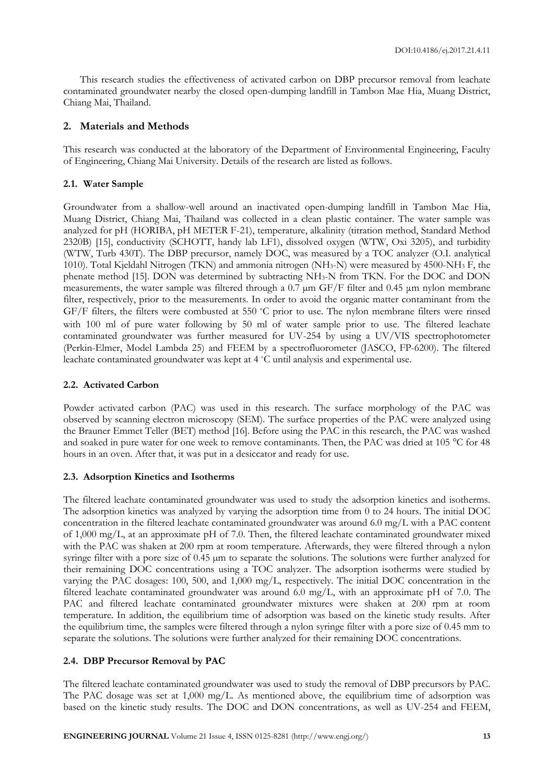This research studies the effectiveness of activated carbon on DBP precursor removal from leachate contaminated groundwater nearby the closed open-dumping landfill in Tambon Mae Hia, Muang District, Chiang Mai, Thailand.

# **2. Materials and Methods**

This research was conducted at the laboratory of the Department of Environmental Engineering, Faculty of Engineering, Chiang Mai University. Details of the research are listed as follows.

# **2.1. Water Sample**

Groundwater from a shallow-well around an inactivated open-dumping landfill in Tambon Mae Hia, Muang District, Chiang Mai, Thailand was collected in a clean plastic container. The water sample was analyzed for pH (HORIBA, pH METER F-21), temperature, alkalinity (titration method, Standard Method 2320B) [15], conductivity (SCHOTT, handy lab LF1), dissolved oxygen (WTW, Oxi 3205), and turbidity (WTW, Turb 430T). The DBP precursor, namely DOC, was measured by a TOC analyzer (O.I. analytical 1010). Total Kjeldahl Nitrogen (TKN) and ammonia nitrogen (NH3-N) were measured by 4500-NH<sup>3</sup> F, the phenate method [15]. DON was determined by subtracting NH3-N from TKN. For the DOC and DON measurements, the water sample was filtered through a 0.7 µm GF/F filter and 0.45 μm nylon membrane filter, respectively, prior to the measurements. In order to avoid the organic matter contaminant from the GF/F filters, the filters were combusted at 550 °C prior to use. The nylon membrane filters were rinsed with 100 ml of pure water following by 50 ml of water sample prior to use. The filtered leachate contaminated groundwater was further measured for UV-254 by using a UV/VIS spectrophotometer (Perkin-Elmer, Model Lambda 25) and FEEM by a spectrofluorometer (JASCO, FP-6200). The filtered leachate contaminated groundwater was kept at 4 °C until analysis and experimental use.

# **2.2. Activated Carbon**

Powder activated carbon (PAC) was used in this research. The surface morphology of the PAC was observed by scanning electron microscopy (SEM). The surface properties of the PAC were analyzed using the Brauner Emmet Teller (BET) method [16]. Before using the PAC in this research, the PAC was washed and soaked in pure water for one week to remove contaminants. Then, the PAC was dried at 105 °C for 48 hours in an oven. After that, it was put in a desiccator and ready for use.

# **2.3. Adsorption Kinetics and Isotherms**

The filtered leachate contaminated groundwater was used to study the adsorption kinetics and isotherms. The adsorption kinetics was analyzed by varying the adsorption time from 0 to 24 hours. The initial DOC concentration in the filtered leachate contaminated groundwater was around 6.0 mg/L with a PAC content of 1,000 mg/L, at an approximate pH of 7.0. Then, the filtered leachate contaminated groundwater mixed with the PAC was shaken at 200 rpm at room temperature. Afterwards, they were filtered through a nylon syringe filter with a pore size of  $0.45 \mu m$  to separate the solutions. The solutions were further analyzed for their remaining DOC concentrations using a TOC analyzer. The adsorption isotherms were studied by varying the PAC dosages: 100, 500, and 1,000 mg/L, respectively. The initial DOC concentration in the filtered leachate contaminated groundwater was around 6.0 mg/L, with an approximate pH of 7.0. The PAC and filtered leachate contaminated groundwater mixtures were shaken at 200 rpm at room temperature. In addition, the equilibrium time of adsorption was based on the kinetic study results. After the equilibrium time, the samples were filtered through a nylon syringe filter with a pore size of 0.45 mm to separate the solutions. The solutions were further analyzed for their remaining DOC concentrations.

# **2.4. DBP Precursor Removal by PAC**

The filtered leachate contaminated groundwater was used to study the removal of DBP precursors by PAC. The PAC dosage was set at 1,000 mg/L. As mentioned above, the equilibrium time of adsorption was based on the kinetic study results. The DOC and DON concentrations, as well as UV-254 and FEEM,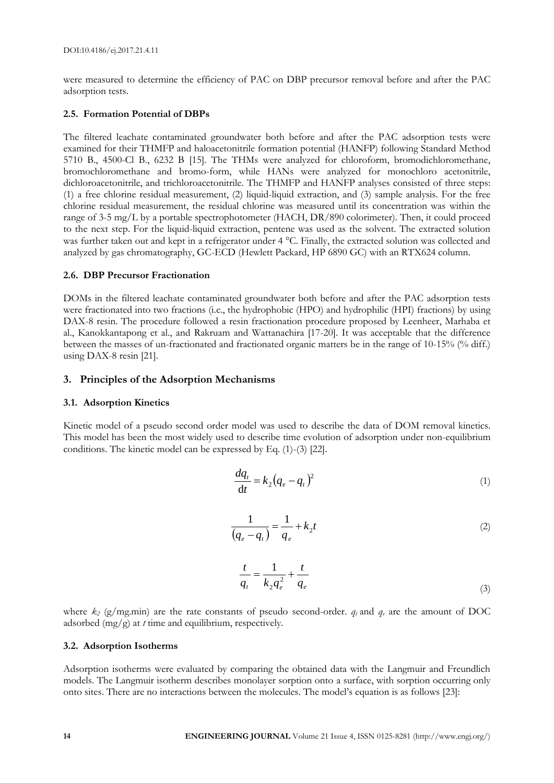were measured to determine the efficiency of PAC on DBP precursor removal before and after the PAC adsorption tests.

# **2.5. Formation Potential of DBPs**

The filtered leachate contaminated groundwater both before and after the PAC adsorption tests were examined for their THMFP and haloacetonitrile formation potential (HANFP) following Standard Method 5710 B., 4500-Cl B., 6232 B [15]. The THMs were analyzed for chloroform, bromodichloromethane, bromochloromethane and bromo-form, while HANs were analyzed for monochloro acetonitrile, dichloroacetonitrile, and trichloroacetonitrile. The THMFP and HANFP analyses consisted of three steps: (1) a free chlorine residual measurement, (2) liquid-liquid extraction, and (3) sample analysis. For the free chlorine residual measurement, the residual chlorine was measured until its concentration was within the range of 3-5 mg/L by a portable spectrophotometer (HACH, DR/890 colorimeter). Then, it could proceed to the next step. For the liquid-liquid extraction, pentene was used as the solvent. The extracted solution was further taken out and kept in a refrigerator under 4 °C. Finally, the extracted solution was collected and analyzed by gas chromatography, GC-ECD (Hewlett Packard, HP 6890 GC) with an RTX624 column.

# **2.6. DBP Precursor Fractionation**

DOMs in the filtered leachate contaminated groundwater both before and after the PAC adsorption tests were fractionated into two fractions (i.e., the hydrophobic (HPO) and hydrophilic (HPI) fractions) by using DAX-8 resin. The procedure followed a resin fractionation procedure proposed by Leenheer, Marhaba et al., Kanokkantapong et al., and Rakruam and Wattanachira [17-20]. It was acceptable that the difference between the masses of un-fractionated and fractionated organic matters be in the range of 10-15% (% diff.) using DAX-8 resin [21].

# **3. Principles of the Adsorption Mechanisms**

# **3.1. Adsorption Kinetics**

Kinetic model of a pseudo second order model was used to describe the data of DOM removal kinetics. This model has been the most widely used to describe time evolution of adsorption under non-equilibrium conditions. The kinetic model can be expressed by Eq. (1)-(3) [22].

$$
\frac{dq_t}{dt} = k_2 (q_e - q_t)^2 \tag{1}
$$

$$
\frac{1}{(q_e - q_t)} = \frac{1}{q_e} + k_2 t
$$
 (2)

$$
\frac{t}{q_t} = \frac{1}{k_2 q_e^2} + \frac{t}{q_e}
$$
 (3)

where  $k_2$  (g/mg.min) are the rate constants of pseudo second-order.  $q_t$  and  $q_e$  are the amount of DOC adsorbed (mg/g) at *t* time and equilibrium, respectively.

# **3.2. Adsorption Isotherms**

Adsorption isotherms were evaluated by comparing the obtained data with the Langmuir and Freundlich models. The Langmuir isotherm describes monolayer sorption onto a surface, with sorption occurring only onto sites. There are no interactions between the molecules. The model's equation is as follows [23]: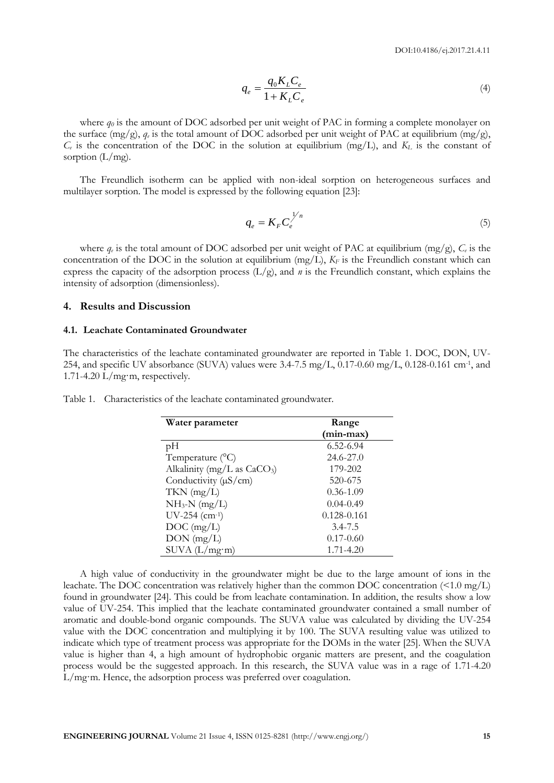$$
q_e = \frac{q_0 K_L C_e}{1 + K_L C_e} \tag{4}
$$

where  $q_0$  is the amount of DOC adsorbed per unit weight of PAC in forming a complete monolayer on the surface  $(mg/g)$ ,  $q_e$  is the total amount of DOC adsorbed per unit weight of PAC at equilibrium  $(mg/g)$ ,  $C_e$  is the concentration of the DOC in the solution at equilibrium (mg/L), and  $K_L$  is the constant of sorption  $(L/mg)$ .

The Freundlich isotherm can be applied with non-ideal sorption on heterogeneous surfaces and multilayer sorption. The model is expressed by the following equation [23]:

$$
q_e = K_F C_e^{\frac{1}{n}} \tag{5}
$$

where  $q_e$  is the total amount of DOC adsorbed per unit weight of PAC at equilibrium (mg/g),  $C_e$  is the concentration of the DOC in the solution at equilibrium  $(mg/L)$ ,  $K_F$  is the Freundlich constant which can express the capacity of the adsorption process  $(L/g)$ , and *n* is the Freundlich constant, which explains the intensity of adsorption (dimensionless).

#### **4. Results and Discussion**

### **4.1. Leachate Contaminated Groundwater**

The characteristics of the leachate contaminated groundwater are reported in Table 1. DOC, DON, UV-254, and specific UV absorbance (SUVA) values were 3.4-7.5 mg/L,  $0.17$ -0.60 mg/L,  $0.128$ -0.161 cm<sup>-1</sup>, and 1.71-4.20  $L/mg·m$ , respectively.

| Water parameter               | Range         |  |  |
|-------------------------------|---------------|--|--|
|                               | (min-max)     |  |  |
| pH                            | $6.52 - 6.94$ |  |  |
| Temperature $(^{\circ}C)$     | 24.6-27.0     |  |  |
| Alkalinity (mg/L as $CaCO3$ ) | 179-202       |  |  |
| Conductivity $(\mu S/cm)$     | 520-675       |  |  |
| $TKN$ (mg/L)                  | $0.36 - 1.09$ |  |  |
| $NH_3-N$ (mg/L)               | $0.04 - 0.49$ |  |  |
| $UV-254$ (cm-1)               | 0.128-0.161   |  |  |
| $DOC$ (mg/L)                  | $3.4 - 7.5$   |  |  |
| $DON$ (mg/L)                  | $0.17 - 0.60$ |  |  |
| SUVA (L/mg·m)                 | $1.71 - 4.20$ |  |  |

Table 1. Characteristics of the leachate contaminated groundwater.

A high value of conductivity in the groundwater might be due to the large amount of ions in the leachate. The DOC concentration was relatively higher than the common DOC concentration (<1.0 mg/L) found in groundwater [24]. This could be from leachate contamination. In addition, the results show a low value of UV-254. This implied that the leachate contaminated groundwater contained a small number of aromatic and double-bond organic compounds. The SUVA value was calculated by dividing the UV-254 value with the DOC concentration and multiplying it by 100. The SUVA resulting value was utilized to indicate which type of treatment process was appropriate for the DOMs in the water [25]. When the SUVA value is higher than 4, a high amount of hydrophobic organic matters are present, and the coagulation process would be the suggested approach. In this research, the SUVA value was in a rage of 1.71-4.20 L/mg·m. Hence, the adsorption process was preferred over coagulation.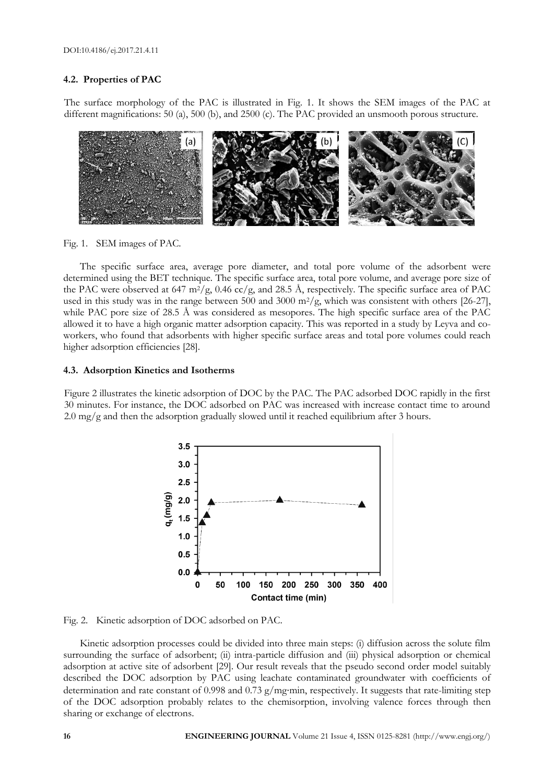# **4.2. Properties of PAC**

The surface morphology of the PAC is illustrated in Fig. 1. It shows the SEM images of the PAC at different magnifications: 50 (a), 500 (b), and 2500 (c). The PAC provided an unsmooth porous structure.



Fig. 1. SEM images of PAC.

The specific surface area, average pore diameter, and total pore volume of the adsorbent were determined using the BET technique. The specific surface area, total pore volume, and average pore size of the PAC were observed at 647 m<sup>2</sup>/g, 0.46 cc/g, and 28.5 Å, respectively. The specific surface area of PAC used in this study was in the range between 500 and 3000 m<sup>2</sup>/g, which was consistent with others [26-27], while PAC pore size of 28.5 Å was considered as mesopores. The high specific surface area of the PAC allowed it to have a high organic matter adsorption capacity. This was reported in a study by Leyva and coworkers, who found that adsorbents with higher specific surface areas and total pore volumes could reach higher adsorption efficiencies [28].

#### **4.3. Adsorption Kinetics and Isotherms**

Figure 2 illustrates the kinetic adsorption of DOC by the PAC. The PAC adsorbed DOC rapidly in the first 30 minutes. For instance, the DOC adsorbed on PAC was increased with increase contact time to around  $2.0 \text{ mg/g}$  and then the adsorption gradually slowed until it reached equilibrium after 3 hours.



Fig. 2. Kinetic adsorption of DOC adsorbed on PAC.

Kinetic adsorption processes could be divided into three main steps: (i) diffusion across the solute film surrounding the surface of adsorbent; (ii) intra-particle diffusion and (iii) physical adsorption or chemical adsorption at active site of adsorbent [29]. Our result reveals that the pseudo second order model suitably described the DOC adsorption by PAC using leachate contaminated groundwater with coefficients of determination and rate constant of 0.998 and 0.73  $g/mg$ ·min, respectively. It suggests that rate-limiting step of the DOC adsorption probably relates to the chemisorption, involving valence forces through then sharing or exchange of electrons.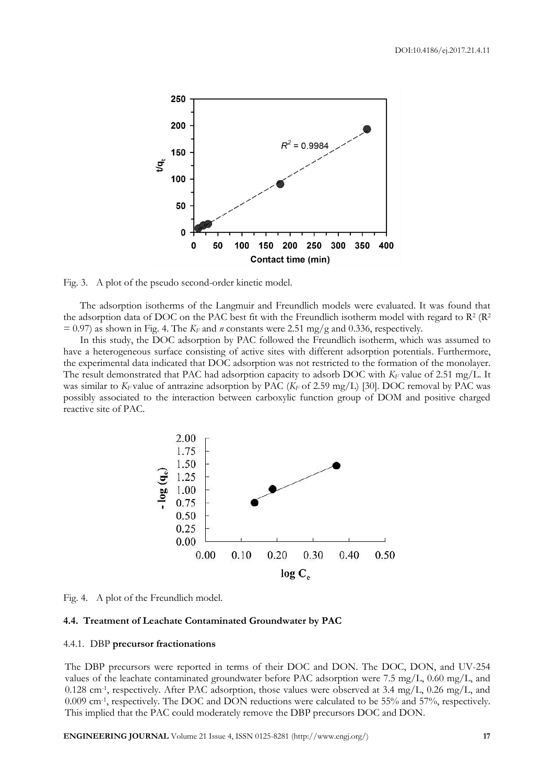

Fig. 3. A plot of the pseudo second-order kinetic model.

The adsorption isotherms of the Langmuir and Freundlich models were evaluated. It was found that the adsorption data of DOC on the PAC best fit with the Freundlich isotherm model with regard to  $\mathbb{R}^2$  ( $\mathbb{R}^2$  $= 0.97$ ) as shown in Fig. 4. The  $K_F$  and *n* constants were 2.51 mg/g and 0.336, respectively.

In this study, the DOC adsorption by PAC followed the Freundlich isotherm, which was assumed to have a heterogeneous surface consisting of active sites with different adsorption potentials. Furthermore, the experimental data indicated that DOC adsorption was not restricted to the formation of the monolayer. The result demonstrated that PAC had adsorption capacity to adsorb DOC with *K<sup>F</sup>* value of 2.51 mg/L. It was similar to *KF* value of antrazine adsorption by PAC (*K<sup>F</sup>* of 2.59 mg/L) [30]. DOC removal by PAC was possibly associated to the interaction between carboxylic function group of DOM and positive charged reactive site of PAC.



Fig. 4. A plot of the Freundlich model.

#### **4.4. Treatment of Leachate Contaminated Groundwater by PAC**

#### 4.4.1. DBP **precursor fractionations**

The DBP precursors were reported in terms of their DOC and DON. The DOC, DON, and UV-254 values of the leachate contaminated groundwater before PAC adsorption were 7.5 mg/L, 0.60 mg/L, and 0.128 cm<sup>-1</sup>, respectively. After PAC adsorption, those values were observed at 3.4 mg/L, 0.26 mg/L, and 0.009 cm-1 , respectively. The DOC and DON reductions were calculated to be 55% and 57%, respectively. This implied that the PAC could moderately remove the DBP precursors DOC and DON.

**ENGINEERING JOURNAL** Volume 21 Issue 4, ISSN 0125-8281 (http://www.engj.org/) **17**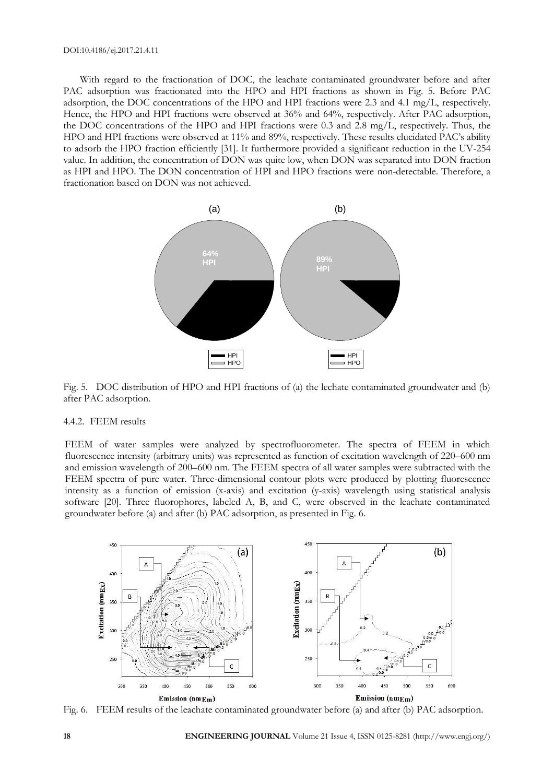With regard to the fractionation of DOC, the leachate contaminated groundwater before and after PAC adsorption was fractionated into the HPO and HPI fractions as shown in Fig. 5. Before PAC adsorption, the DOC concentrations of the HPO and HPI fractions were 2.3 and 4.1 mg/L, respectively. Hence, the HPO and HPI fractions were observed at 36% and 64%, respectively. After PAC adsorption, the DOC concentrations of the HPO and HPI fractions were 0.3 and 2.8 mg/L, respectively. Thus, the HPO and HPI fractions were observed at 11% and 89%, respectively. These results elucidated PAC's ability to adsorb the HPO fraction efficiently [31]. It furthermore provided a significant reduction in the UV-254 value. In addition, the concentration of DON was quite low, when DON was separated into DON fraction as HPI and HPO. The DON concentration of HPI and HPO fractions were non-detectable. Therefore, a fractionation based on DON was not achieved.



Fig. 5. DOC distribution of HPO and HPI fractions of (a) the lechate contaminated groundwater and (b) after PAC adsorption.

#### 4.4.2. FEEM results

FEEM of water samples were analyzed by spectrofluorometer. The spectra of FEEM in which fluorescence intensity (arbitrary units) was represented as function of excitation wavelength of 220–600 nm and emission wavelength of 200–600 nm. The FEEM spectra of all water samples were subtracted with the FEEM spectra of pure water. Three-dimensional contour plots were produced by plotting fluorescence intensity as a function of emission (x-axis) and excitation (y-axis) wavelength using statistical analysis software [20]. Three fluorophores, labeled A, B, and C, were observed in the leachate contaminated groundwater before (a) and after (b) PAC adsorption, as presented in Fig. 6.



Fig. 6. FEEM results of the leachate contaminated groundwater before (a) and after (b) PAC adsorption.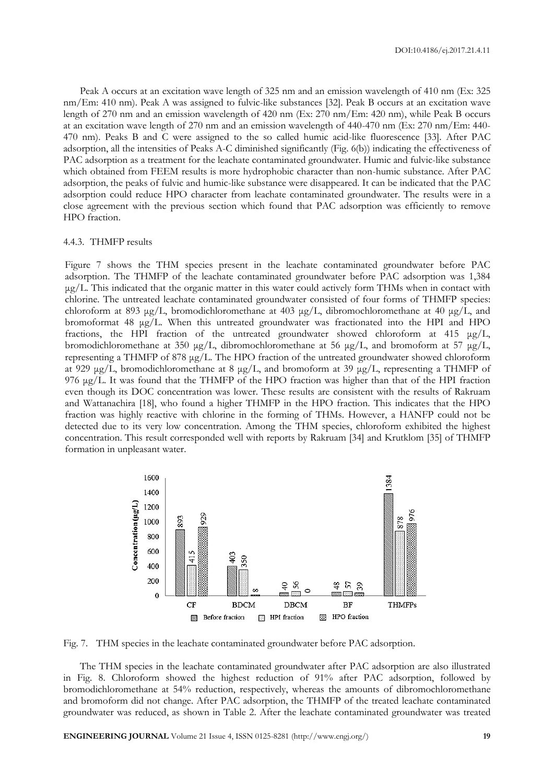Peak A occurs at an excitation wave length of 325 nm and an emission wavelength of 410 nm (Ex: 325 nm/Em: 410 nm). Peak A was assigned to fulvic-like substances [32]. Peak B occurs at an excitation wave length of 270 nm and an emission wavelength of 420 nm (Ex: 270 nm/Em: 420 nm), while Peak B occurs at an excitation wave length of 270 nm and an emission wavelength of 440-470 nm (Ex: 270 nm/Em: 440- 470 nm). Peaks B and C were assigned to the so called humic acid-like fluorescence [33]. After PAC adsorption, all the intensities of Peaks A-C diminished significantly (Fig. 6(b)) indicating the effectiveness of PAC adsorption as a treatment for the leachate contaminated groundwater. Humic and fulvic-like substance which obtained from FEEM results is more hydrophobic character than non-humic substance. After PAC adsorption, the peaks of fulvic and humic-like substance were disappeared. It can be indicated that the PAC adsorption could reduce HPO character from leachate contaminated groundwater. The results were in a close agreement with the previous section which found that PAC adsorption was efficiently to remove HPO fraction.

#### 4.4.3. THMFP results

Figure 7 shows the THM species present in the leachate contaminated groundwater before PAC adsorption. The THMFP of the leachate contaminated groundwater before PAC adsorption was 1,384 μg/L. This indicated that the organic matter in this water could actively form THMs when in contact with chlorine. The untreated leachate contaminated groundwater consisted of four forms of THMFP species: chloroform at 893 μg/L, bromodichloromethane at 403 μg/L, dibromochloromethane at 40 μg/L, and bromoformat 48 μg/L. When this untreated groundwater was fractionated into the HPI and HPO fractions, the HPI fraction of the untreated groundwater showed chloroform at 415 μg/L, bromodichloromethane at 350 μg/L, dibromochloromethane at 56 μg/L, and bromoform at 57 μg/L, representing a THMFP of 878 μg/L. The HPO fraction of the untreated groundwater showed chloroform at 929 μg/L, bromodichloromethane at 8 μg/L, and bromoform at 39 μg/L, representing a THMFP of 976 μg/L. It was found that the THMFP of the HPO fraction was higher than that of the HPI fraction even though its DOC concentration was lower. These results are consistent with the results of Rakruam and Wattanachira [18], who found a higher THMFP in the HPO fraction. This indicates that the HPO fraction was highly reactive with chlorine in the forming of THMs. However, a HANFP could not be detected due to its very low concentration. Among the THM species, chloroform exhibited the highest concentration. This result corresponded well with reports by Rakruam [34] and Krutklom [35] of THMFP formation in unpleasant water.



Fig. 7. THM species in the leachate contaminated groundwater before PAC adsorption.

The THM species in the leachate contaminated groundwater after PAC adsorption are also illustrated in Fig. 8. Chloroform showed the highest reduction of 91% after PAC adsorption, followed by bromodichloromethane at 54% reduction, respectively, whereas the amounts of dibromochloromethane and bromoform did not change. After PAC adsorption, the THMFP of the treated leachate contaminated groundwater was reduced, as shown in Table 2. After the leachate contaminated groundwater was treated

**ENGINEERING JOURNAL** Volume 21 Issue 4, ISSN 0125-8281 (http://www.engj.org/) **19**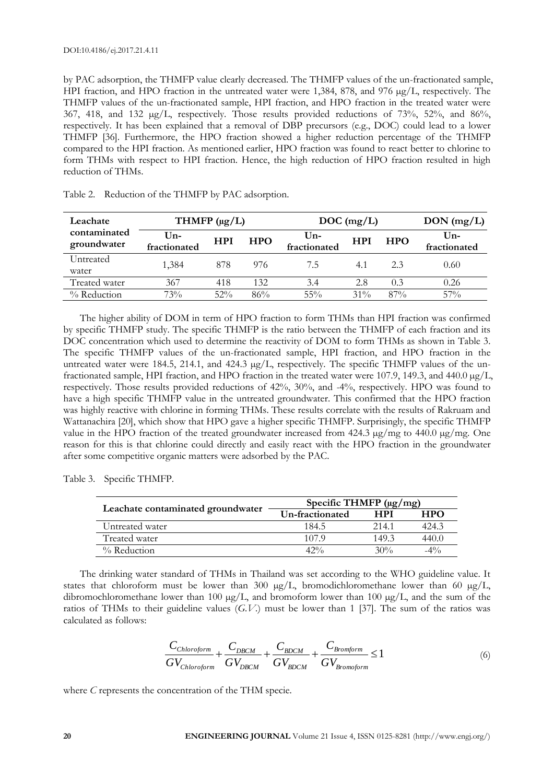by PAC adsorption, the THMFP value clearly decreased. The THMFP values of the un-fractionated sample, HPI fraction, and HPO fraction in the untreated water were 1,384, 878, and 976  $\mu$ g/L, respectively. The THMFP values of the un-fractionated sample, HPI fraction, and HPO fraction in the treated water were 367, 418, and 132 µg/L, respectively. Those results provided reductions of 73%, 52%, and 86%, respectively. It has been explained that a removal of DBP precursors (e.g., DOC) could lead to a lower THMFP [36]. Furthermore, the HPO fraction showed a higher reduction percentage of the THMFP compared to the HPI fraction. As mentioned earlier, HPO fraction was found to react better to chlorine to form THMs with respect to HPI fraction. Hence, the high reduction of HPO fraction resulted in high reduction of THMs.

| Leachate                    | THMFP $(\mu g/L)$   |            |            | DOC(mg/L)             |            |            | $DON$ (mg/L)                    |
|-----------------------------|---------------------|------------|------------|-----------------------|------------|------------|---------------------------------|
| contaminated<br>groundwater | Un-<br>fractionated | <b>HPI</b> | <b>HPO</b> | $Un-$<br>fractionated | <b>HPI</b> | <b>HPO</b> | $\mathbf{U}$ n-<br>fractionated |
| Untreated<br>water          | 1.384               | 878        | 976        | 7.5                   | 4.1        | 23         | 0.60                            |
| Treated water               | 367                 | 418        | 132        | 3.4                   | 2.8        | 0.3        | 0.26                            |
| $\%$ Reduction              | 73%                 | 52%        | 86%        | $55\%$                | $31\%$     | $87\%$     | 57%                             |

Table 2. Reduction of the THMFP by PAC adsorption.

The higher ability of DOM in term of HPO fraction to form THMs than HPI fraction was confirmed by specific THMFP study. The specific THMFP is the ratio between the THMFP of each fraction and its DOC concentration which used to determine the reactivity of DOM to form THMs as shown in Table 3. The specific THMFP values of the un-fractionated sample, HPI fraction, and HPO fraction in the untreated water were 184.5, 214.1, and 424.3 µg/L, respectively. The specific THMFP values of the unfractionated sample, HPI fraction, and HPO fraction in the treated water were 107.9, 149.3, and 440.0 µg/L, respectively. Those results provided reductions of 42%, 30%, and -4%, respectively. HPO was found to have a high specific THMFP value in the untreated groundwater. This confirmed that the HPO fraction was highly reactive with chlorine in forming THMs. These results correlate with the results of Rakruam and Wattanachira [20], which show that HPO gave a higher specific THMFP. Surprisingly, the specific THMFP value in the HPO fraction of the treated groundwater increased from 424.3 µg/mg to 440.0 µg/mg. One reason for this is that chlorine could directly and easily react with the HPO fraction in the groundwater after some competitive organic matters were adsorbed by the PAC.

Table 3. Specific THMFP.

|                                   | Specific THMFP $(\mu g/mg)$ |            |            |  |  |
|-----------------------------------|-----------------------------|------------|------------|--|--|
| Leachate contaminated groundwater | Un-fractionated             | <b>HPI</b> | <b>HPO</b> |  |  |
| Untreated water                   | 184.5                       | 2.14.1     | 424.3      |  |  |
| Treated water                     | 107.9                       | 149.3      | 440.0      |  |  |
| $%$ Reduction                     | $42\%$                      | 30%        | $-4\%$     |  |  |

The drinking water standard of THMs in Thailand was set according to the WHO guideline value. It states that chloroform must be lower than 300  $\mu$ g/L, bromodichloromethane lower than 60  $\mu$ g/L, dibromochloromethane lower than 100  $\mu$ g/L, and bromoform lower than 100  $\mu$ g/L, and the sum of the ratios of THMs to their guideline values (*G.V.*) must be lower than 1 [37]. The sum of the ratios was calculated as follows:

$$
\frac{C_{Chloroform}}{GV_{Chloroform}} + \frac{C_{DBCM}}{GV_{DBCM}} + \frac{C_{BDCM}}{GV_{BDCM}} + \frac{C_{Bromform}}{GV_{Bromoform}} \le 1
$$
\n(6)

where *C* represents the concentration of the THM specie.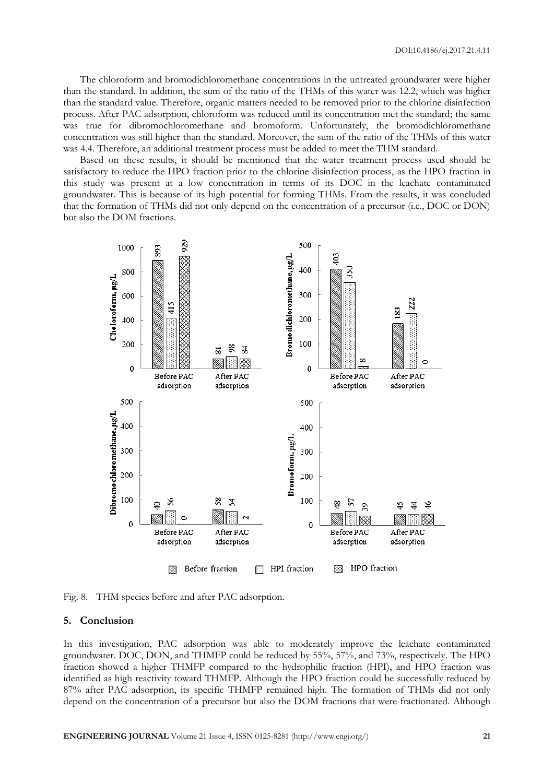The chloroform and bromodichloromethane concentrations in the untreated groundwater were higher than the standard. In addition, the sum of the ratio of the THMs of this water was 12.2, which was higher than the standard value. Therefore, organic matters needed to be removed prior to the chlorine disinfection process. After PAC adsorption, chloroform was reduced until its concentration met the standard; the same was true for dibromochloromethane and bromoform. Unfortunately, the bromodichloromethane concentration was still higher than the standard. Moreover, the sum of the ratio of the THMs of this water was 4.4. Therefore, an additional treatment process must be added to meet the THM standard.

Based on these results, it should be mentioned that the water treatment process used should be satisfactory to reduce the HPO fraction prior to the chlorine disinfection process, as the HPO fraction in this study was present at a low concentration in terms of its DOC in the leachate contaminated groundwater. This is because of its high potential for forming THMs. From the results, it was concluded that the formation of THMs did not only depend on the concentration of a precursor (i.e., DOC or DON) but also the DOM fractions.



Fig. 8. THM species before and after PAC adsorption.

#### **5. Conclusion**

In this investigation, PAC adsorption was able to moderately improve the leachate contaminated groundwater. DOC, DON, and THMFP could be reduced by 55%, 57%, and 73%, respectively. The HPO fraction showed a higher THMFP compared to the hydrophilic fraction (HPI), and HPO fraction was identified as high reactivity toward THMFP. Although the HPO fraction could be successfully reduced by 87% after PAC adsorption, its specific THMFP remained high. The formation of THMs did not only depend on the concentration of a precursor but also the DOM fractions that were fractionated. Although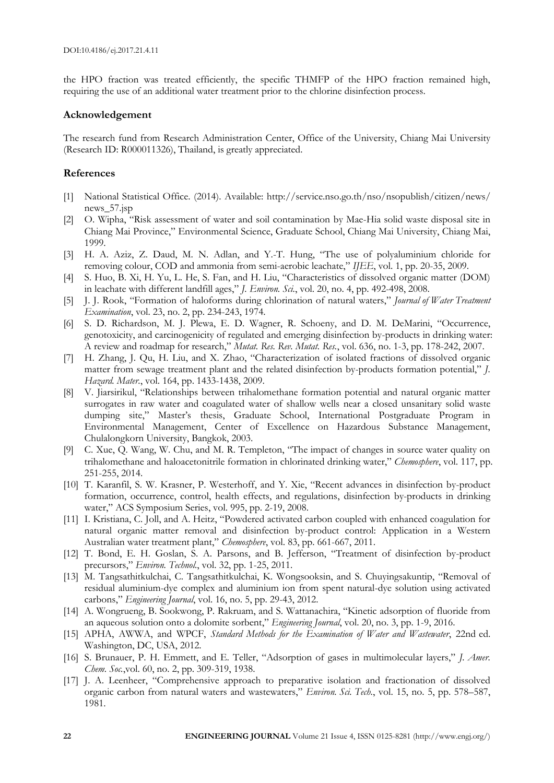the HPO fraction was treated efficiently, the specific THMFP of the HPO fraction remained high, requiring the use of an additional water treatment prior to the chlorine disinfection process.

# **Acknowledgement**

The research fund from Research Administration Center, Office of the University, Chiang Mai University (Research ID: R000011326), Thailand, is greatly appreciated.

# **References**

- [1] National Statistical Office. (2014). Available: http://service.nso.go.th/nso/nsopublish/citizen/news/ news\_57.jsp
- [2] O. Wipha, "Risk assessment of water and soil contamination by Mae-Hia solid waste disposal site in Chiang Mai Province," Environmental Science, Graduate School, Chiang Mai University, Chiang Mai, 1999.
- [3] H. A. Aziz, Z. Daud, M. N. Adlan, and Y.-T. Hung, "The use of polyaluminium chloride for removing colour, COD and ammonia from semi-aerobic leachate," *IJEE*, vol. 1, pp. 20-35, 2009.
- [4] S. Huo, B. Xi, H. Yu, L. He, S. Fan, and H. Liu, "Characteristics of dissolved organic matter (DOM) in leachate with different landfill ages," *J. Environ. Sci.*, vol. 20, no. 4, pp. 492-498, 2008.
- [5] J. J. Rook, "Formation of haloforms during chlorination of natural waters," *Journal of Water Treatment Examination*, vol. 23, no. 2, pp. 234-243, 1974.
- [6] S. D. Richardson, M. J. Plewa, E. D. Wagner, R. Schoeny, and D. M. DeMarini, "Occurrence, genotoxicity, and carcinogenicity of regulated and emerging disinfection by-products in drinking water: A review and roadmap for research," *Mutat. Res. Rev. Mutat. Res.*, vol. 636, no. 1-3, pp. 178-242, 2007.
- [7] H. Zhang, J. Qu, H. Liu, and X. Zhao, "Characterization of isolated fractions of dissolved organic matter from sewage treatment plant and the related disinfection by-products formation potential," *J. Hazard. Mater.*, vol. 164, pp. 1433-1438, 2009.
- [8] V. Jiarsirikul, "Relationships between trihalomethane formation potential and natural organic matter surrogates in raw water and coagulated water of shallow wells near a closed unsanitary solid waste dumping site," Master's thesis, Graduate School, International Postgraduate Program in Environmental Management, Center of Excellence on Hazardous Substance Management, Chulalongkorn University, Bangkok, 2003.
- [9] C. Xue, Q. Wang, W. Chu, and M. R. Templeton, "The impact of changes in source water quality on trihalomethane and haloacetonitrile formation in chlorinated drinking water," *Chemosphere*, vol. 117, pp. 251-255, 2014.
- [10] T. Karanfil, S. W. Krasner, P. Westerhoff, and Y. Xie, "Recent advances in disinfection by-product formation, occurrence, control, health effects, and regulations, disinfection by-products in drinking water," ACS Symposium Series, vol. 995, pp. 2-19, 2008.
- [11] I. Kristiana, C. Joll, and A. Heitz, "Powdered activated carbon coupled with enhanced coagulation for natural organic matter removal and disinfection by-product control: Application in a Western Australian water treatment plant," *Chemosphere*, vol. 83, pp. 661-667, 2011.
- [12] T. Bond, E. H. Goslan, S. A. Parsons, and B. Jefferson, "Treatment of disinfection by-product precursors," *Environ. Technol.*, vol. 32, pp. 1-25, 2011.
- [13] M. Tangsathitkulchai, C. Tangsathitkulchai, K. Wongsooksin, and S. Chuyingsakuntip, "Removal of residual aluminium-dye complex and aluminium ion from spent natural-dye solution using activated carbons," *Engineering Journal*, vol. 16, no. 5, pp. 29-43, 2012.
- [14] A. Wongrueng, B. Sookwong, P. Rakruam, and S. Wattanachira, "Kinetic adsorption of fluoride from an aqueous solution onto a dolomite sorbent," *Engineering Journal*, vol. 20, no. 3, pp. 1-9, 2016.
- [15] APHA, AWWA, and WPCF, *Standard Methods for the Examination of Water and Wastewater*, 22nd ed. Washington, DC, USA, 2012.
- [16] S. Brunauer, P. H. Emmett, and E. Teller, "Adsorption of gases in multimolecular layers," *J. Amer. Chem. Soc.*,vol. 60, no. 2, pp. 309-319, 1938.
- [17] J. A. Leenheer, "Comprehensive approach to preparative isolation and fractionation of dissolved organic carbon from natural waters and wastewaters," *Environ. Sci. Tech.*, vol. 15, no. 5, pp. 578–587, 1981.